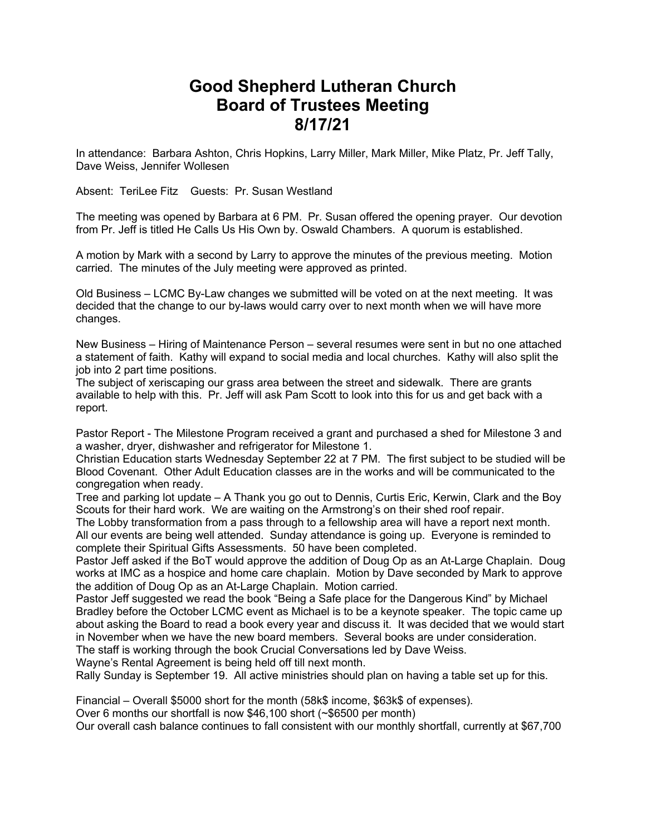## **Good Shepherd Lutheran Church Board of Trustees Meeting 8/17/21**

In attendance: Barbara Ashton, Chris Hopkins, Larry Miller, Mark Miller, Mike Platz, Pr. Jeff Tally, Dave Weiss, Jennifer Wollesen

Absent: TeriLee Fitz Guests: Pr. Susan Westland

The meeting was opened by Barbara at 6 PM. Pr. Susan offered the opening prayer. Our devotion from Pr. Jeff is titled He Calls Us His Own by. Oswald Chambers. A quorum is established.

A motion by Mark with a second by Larry to approve the minutes of the previous meeting. Motion carried. The minutes of the July meeting were approved as printed.

Old Business – LCMC By-Law changes we submitted will be voted on at the next meeting. It was decided that the change to our by-laws would carry over to next month when we will have more changes.

New Business – Hiring of Maintenance Person – several resumes were sent in but no one attached a statement of faith. Kathy will expand to social media and local churches. Kathy will also split the job into 2 part time positions.

The subject of xeriscaping our grass area between the street and sidewalk. There are grants available to help with this. Pr. Jeff will ask Pam Scott to look into this for us and get back with a report.

Pastor Report - The Milestone Program received a grant and purchased a shed for Milestone 3 and a washer, dryer, dishwasher and refrigerator for Milestone 1.

Christian Education starts Wednesday September 22 at 7 PM. The first subject to be studied will be Blood Covenant. Other Adult Education classes are in the works and will be communicated to the congregation when ready.

Tree and parking lot update – A Thank you go out to Dennis, Curtis Eric, Kerwin, Clark and the Boy Scouts for their hard work. We are waiting on the Armstrong's on their shed roof repair.

The Lobby transformation from a pass through to a fellowship area will have a report next month. All our events are being well attended. Sunday attendance is going up. Everyone is reminded to complete their Spiritual Gifts Assessments. 50 have been completed.

Pastor Jeff asked if the BoT would approve the addition of Doug Op as an At-Large Chaplain. Doug works at IMC as a hospice and home care chaplain. Motion by Dave seconded by Mark to approve the addition of Doug Op as an At-Large Chaplain. Motion carried.

Pastor Jeff suggested we read the book "Being a Safe place for the Dangerous Kind" by Michael Bradley before the October LCMC event as Michael is to be a keynote speaker. The topic came up about asking the Board to read a book every year and discuss it. It was decided that we would start in November when we have the new board members. Several books are under consideration.

The staff is working through the book Crucial Conversations led by Dave Weiss.

Wayne's Rental Agreement is being held off till next month.

Rally Sunday is September 19. All active ministries should plan on having a table set up for this.

Financial – Overall \$5000 short for the month (58k\$ income, \$63k\$ of expenses).

Over 6 months our shortfall is now \$46,100 short (~\$6500 per month)

Our overall cash balance continues to fall consistent with our monthly shortfall, currently at \$67,700